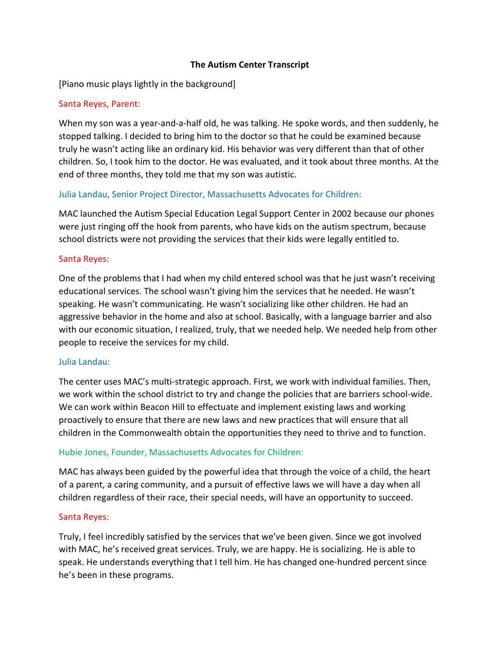## The Autism Center Transcript

[Piano music plays lightly in the background]

## Santa Reyes, Parent:

When my son was a year-and-a-half old, he was talking. He spoke words, and then suddenly, he stopped talking. I decided to bring him to the doctor so that he could be examined because truly he wasn't acting like an ordinary kid. His behavior was very different than that of other children. So, I took him to the doctor. He was evaluated, and it took about three months. At the end of three months, they told me that my son was autistic.

# Julia Landau, Senior Project Director, Massachusetts Advocates for Children:

MAC launched the Autism Special Education Legal Support Center in 2002 because our phones were just ringing off the hook from parents, who have kids on the autism spectrum, because school districts were not providing the services that their kids were legally entitled to.

#### Santa Reyes:

One of the problems that I had when my child entered school was that he just wasn't receiving educational services. The school wasn't giving him the services that he needed. He wasn't speaking. He wasn't communicating. He wasn't socializing like other children. He had an aggressive behavior in the home and also at school. Basically, with a language barrier and also with our economic situation, I realized, truly, that we needed help. We needed help from other people to receive the services for my child.

#### Julia Landau:

The center uses MAC's multi-strategic approach. First, we work with individual families. Then, we work within the school district to try and change the policies that are barriers school-wide. We can work within Beacon Hill to effectuate and implement existing laws and working proactively to ensure that there are new laws and new practices that will ensure that all children in the Commonwealth obtain the opportunities they need to thrive and to function.

# Hubie Jones, Founder, Massachusetts Advocates for Children:

MAC has always been guided by the powerful idea that through the voice of a child, the heart of a parent, a caring community, and a pursuit of effective laws we will have a day when all children regardless of their race, their special needs, will have an opportunity to succeed.

#### Santa Reyes:

Truly, I feel incredibly satisfied by the services that we've been given. Since we got involved with MAC, he's received great services. Truly, we are happy. He is socializing. He is able to speak. He understands everything that I tell him. He has changed one-hundred percent since he's been in these programs.